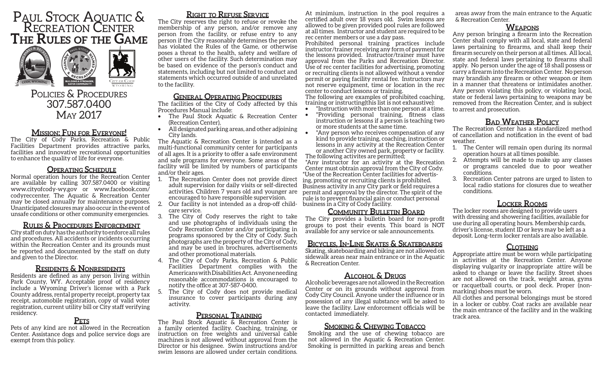# Paul Stock Aquatic & RECREATION CENTE **The Rules of the Game**



# POLICIES & PROCEDURES 307.587.0400 May 2017

# **Mission: Fun for Everyone!**

The City of Cody Parks, Recreation & Public Facilities Department provides attractive parks, facilities and innovative recreational opportunities to enhance the quality of life for everyone.

#### **Operating Schedule**

Normal operation hours for the Recreation Center are available by calling 307.587.0400 or visiting www.cityofcody-wy.gov or www.facebook.com/ codyreccenter. The Aquatic & Recreation Center may be closed annually for maintenance purposes. Unanticipated closures may also occur in the event of unsafe conditions or other community emergencies.

# **Rules & Procedures Enforcement**

City staff on duty has the authority to enforce all rules and procedures. All accidents or incidents occurring within the Recreation Center and its grounds must be reported and documented by the staff on duty and given to the Director.

# **Residents & Nonresidents**

Residents are defined as any person living within Park County, WY. Acceptable proof of residency include a Wyoming Driver's license with a Park County address, rental property receipt, property tax receipt, automobile registration, copy of valid voter registration, current utility bill or City staff verifying residency.

# **Pets**

Pets of any kind are not allowed in the Recreation Center. Assistance dogs and police service dogs are exempt from this policy.

# **Right to Refuse Service**

The City reserves the right to refuse or revoke the membership of any person, and/or remove any person from the facility, or refuse entry to any person if the City reasonably determines the person has violated the Rules of the Game, or otherwise poses a threat to the health, safety and welfare of other users of the facility. Such determination may be based on evidence of the person's conduct and statements, including but not limited to conduct and statements which occurred outside of and unrelated to the facility.

# **General Operating Procedures**

The facilities of the City of Cody affected by this Procedures Manual include:

- The Paul Stock Aquatic & Recreation Center (Recreation Center),
- All designated parking areas, and other adjoining City lands.

The Aquatic & Recreation Center is intended as a multi-functional community center for participants of all ages. It is a priority to offer a safe environment and safe programs for everyone. Some areas of the facility will be limited by numbers of participants and/or their ages.

- 1. The Recreation Center does not provide direct adult supervision for daily visits or self-directed activities. Children 7 years old and younger are encouraged to have responsible supervision.
- 2. Our facility is not intended as a drop-off childcare service.
- 3. The City of Cody reserves the right to take and use photographs of individuals using the Cody Recreation Center and/or participating in programs sponsored by the City of Cody. Such photographs are the property of the City of Cody, and may be used in brochures, advertisements and other promotional materials.
- 4. The City of Cody Parks, Recreation & Public Facilities Department complies with the Americans with Disabilities Act. Anyone needing reasonable accommodations is encouraged to notify the office at 307-587-0400.
- The City of Cody does not provide medical insurance to cover participants during any activity.

# **Personal Training**

The Paul Stock Aquatic & Recreation Center is a family oriented facility. Coaching, training, or instruction on free weights and universal cable machines is not allowed without approval from the Director or his designee. Swim instructions and/or swim lessons are allowed under certain conditions.

At minimium, instruction in the pool requires a certified adult over 18 years old. Swim lessons are allowed to be given provided pool rules are followed at all times. Instructor and student are required to be rec center members or use a day pass.

Prohibited personal training practices include instructor/trainer receiving any form of payment for the lessons provided. Instructor/trainer must have approval from the Parks and Recreation Director. Use of rec center facilities for advertising, promoting or recruiting clients is not allowed without a vendor permit or paying facility rental fee. Instructors may not reserve equipment, time or location in the rec center to conduct lessons or training.

The following are examples of prohibited coaching, training or instructing(this list is not exhaustive):

- \*Instruction with more than one person at a time.
- \*Providing personal training, fitness class instruction or lessons if a person is teaching two or more students at the same time.
- \*Any person who receives compensation of any kind to provide training, coaching, instruction or lessons in any activity at the Recreation Center or another City owned park, property or facility.

The following activites are permitted; \*Any instructor for an activity at the Recreation Center must obtrain approval from the City of Cody. \*Use of the Recreation Center facilities for advertising, promoting or recruiting clients is prohibited. Business activity in any City park or field requires a permit and approval by the director. The spirit of the rule is to prevent financial gain or conduct personal business in a City of Cody facility.

#### **Community Bulletin Board**

The City provides a bulletin board for non-profit groups to post their events. This board is NOT available for any service or sale announcements.

#### **Bicycles, In-Line Skates & Skateboards**

Skating, skateboarding and biking are not allowed on sidewalk areas near main entrance or in the Aquatic & Recreation Center.

# **Alcohol & Drugs**

Alcoholic beverages are not allowed in the Recreation Center or on its grounds without approval from Cody City Council. Anyone under the influence or in possession of any illegal substance will be asked to leave the facility. Law enforcement officials will be contacted immediately.

#### **Smoking & Chewing Tobacco**

Smoking and the use of chewing tobacco are not allowed in the Aquatic & Recreation Center. Smoking is permitted in parking areas and bench areas away from the main entrance to the Aquatic & Recreation Center.

#### **Weapons**

Any person bringing a firearm into the Recreation Center shall comply with all local, state and federal laws pertaining to firearms, and shall keep their firearm securely on their person at all times. All local, state and federal laws pertaining to firearms shall apply. No person under the age of 18 shall possess or carry a firearm into the Recreation Center. No person may brandish any firearm or other weapon or item in a manner that threatens or intimidates another. Any person violating this policy, or violating local, state or federal laws pertaining to weapons may be removed from the Recreation Center, and is subject to arrest and prosecution.

# **Bad Weather Policy**

The Recreation Center has a standardized method of cancellation and notification in the event of bad weather.

- 1. The Center will remain open during its normal operation hours at all times possible.
- 2. Attempts will be made to make up any classes or programs canceled due to poor weather conditions.
- 3. Recreation Center patrons are urged to listen to local radio stations for closures due to weather conditions.

# **Locker Rooms**

The locker rooms are designed to provide users with dressing and showering facilities, available for use during all operating hours. Membership cards, driver's license, student ID or keys may be left as a deposit. Long-term locker rentals are also available.

#### **Clothing**

Appropriate attire must be worn while participating in activities at the Recreation Center. Anyone displaying vulgarity or inappropriate attire will be asked to change or leave the facility. Street shoes are not allowed on the track, weight areas, gyms or racquetball courts, or pool deck. Proper (nonmarking) shoes must be worn.

All clothes and personal belongings must be stored in a locker or cubby. Coat racks are available near the main entrance of the facility and in the walking track area.